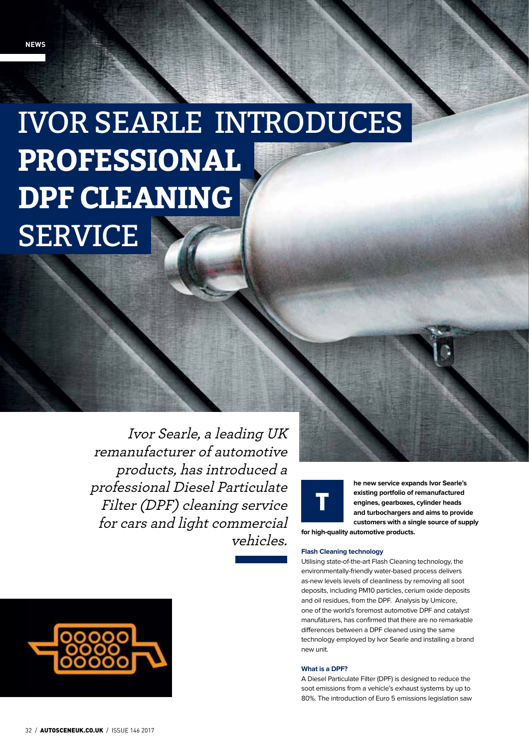# Ivor Searle introduces **professional DPF CLEANING SERVICE**

Ivor Searle, a leading UK remanufacturer of automotive products, has introduced a professional Diesel Particulate Filter (DPF) cleaning service for cars and light commercial vehicles.



**he new service expands Ivor Searle's existing portfolio of remanufactured engines, gearboxes, cylinder heads and turbochargers and aims to provide customers with a single source of supply** 

**for high-quality automotive products.**

## **Flash Cleaning technology**

Utilising state-of-the-art Flash Cleaning technology, the environmentally-friendly water-based process delivers as-new levels levels of cleanliness by removing all soot deposits, including PM10 particles, cerium oxide deposits and oil residues, from the DPF. Analysis by Umicore, one of the world's foremost automotive DPF and catalyst manufaturers, has confirmed that there are no remarkable differences between a DPF cleaned using the same technology employed by Ivor Searle and installing a brand new unit.

## **What is a DPF?**

A Diesel Particulate Filter (DPF) is designed to reduce the soot emissions from a vehicle's exhaust systems by up to 80%. The introduction of Euro 5 emissions legislation saw